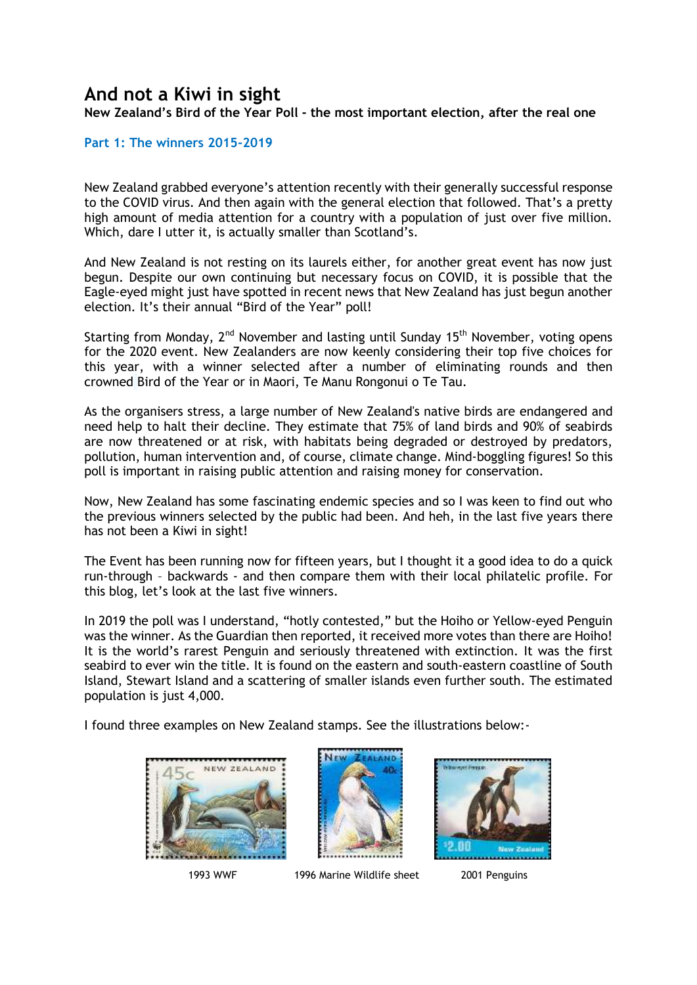## **And not a Kiwi in sight**

**New Zealand's Bird of the Year Poll - the most important election, after the real one**

**Part 1: The winners 2015-2019** 

New Zealand grabbed everyone's attention recently with their generally successful response to the COVID virus. And then again with the general election that followed. That's a pretty high amount of media attention for a country with a population of just over five million. Which, dare I utter it, is actually smaller than Scotland's.

And New Zealand is not resting on its laurels either, for another great event has now just begun. Despite our own continuing but necessary focus on COVID, it is possible that the Eagle-eyed might just have spotted in recent news that New Zealand has just begun another election. It's their annual "Bird of the Year" poll!

Starting from Monday,  $2^{nd}$  November and lasting until Sunday 15<sup>th</sup> November, voting opens for the 2020 event. New Zealanders are now keenly considering their top five choices for this year, with a winner selected after a number of eliminating rounds and then crowned Bird of the Year or in Maori, Te Manu Rongonui o Te Tau.

As the organisers stress, a large number of New Zealand's native birds are endangered and need help to halt their decline. They estimate that 75% of land birds and 90% of seabirds are now threatened or at risk, with habitats being degraded or destroyed by predators, pollution, human intervention and, of course, climate change. Mind-boggling figures! So this poll is important in raising public attention and raising money for conservation.

Now, New Zealand has some fascinating endemic species and so I was keen to find out who the previous winners selected by the public had been. And heh, in the last five years there has not been a Kiwi in sight!

The Event has been running now for fifteen years, but I thought it a good idea to do a quick run-through – backwards - and then compare them with their local philatelic profile. For this blog, let's look at the last five winners.

In 2019 the poll was I understand, "hotly contested," but the Hoiho or Yellow-eyed Penguin was the winner. As the Guardian then reported, it received more votes than there are Hoiho! It is the world's rarest Penguin and seriously threatened with extinction. It was the first seabird to ever win the title. It is found on the eastern and south-eastern coastline of South Island, Stewart Island and a scattering of smaller islands even further south. The estimated population is just 4,000.

I found three examples on New Zealand stamps. See the illustrations below:-





1993 WWF 1996 Marine Wildlife sheet 2001 Penguins

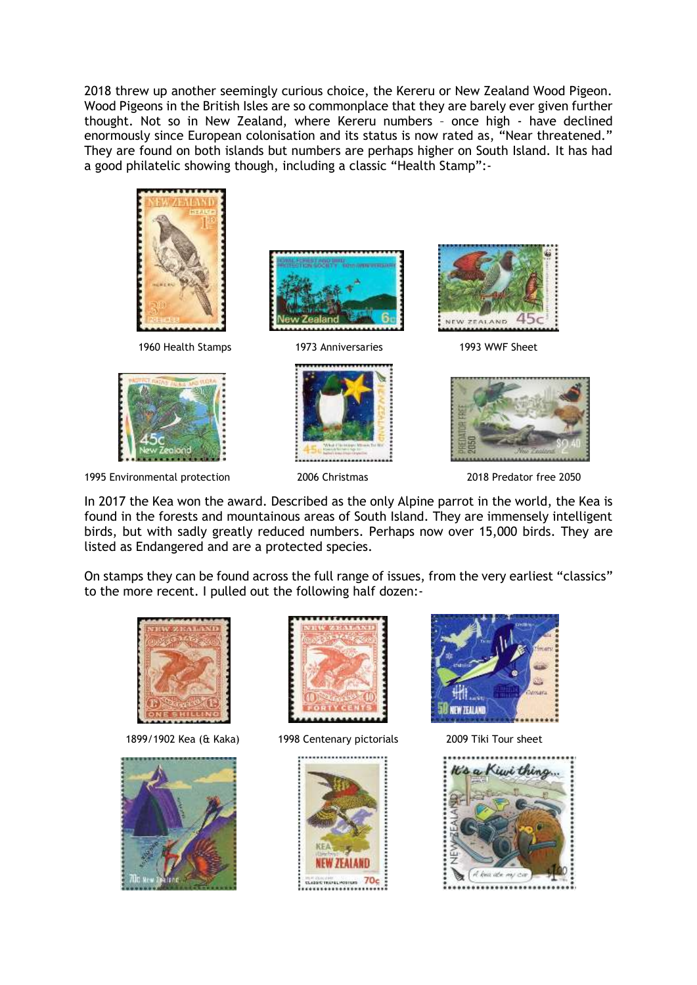2018 threw up another seemingly curious choice, the Kereru or New Zealand Wood Pigeon. Wood Pigeons in the British Isles are so commonplace that they are barely ever given further thought. Not so in New Zealand, where Kereru numbers – once high - have declined enormously since European colonisation and its status is now rated as, "Near threatened." They are found on both islands but numbers are perhaps higher on South Island. It has had a good philatelic showing though, including a classic "Health Stamp":-



1995 Environmental protection 2006 Christmas 2018 Predator free 2050

In 2017 the Kea won the award. Described as the only Alpine parrot in the world, the Kea is found in the forests and mountainous areas of South Island. They are immensely intelligent birds, but with sadly greatly reduced numbers. Perhaps now over 15,000 birds. They are listed as Endangered and are a protected species.

On stamps they can be found across the full range of issues, from the very earliest "classics" to the more recent. I pulled out the following half dozen:-







1899/1902 Kea (& Kaka) 1998 Centenary pictorials 2009 Tiki Tour sheet